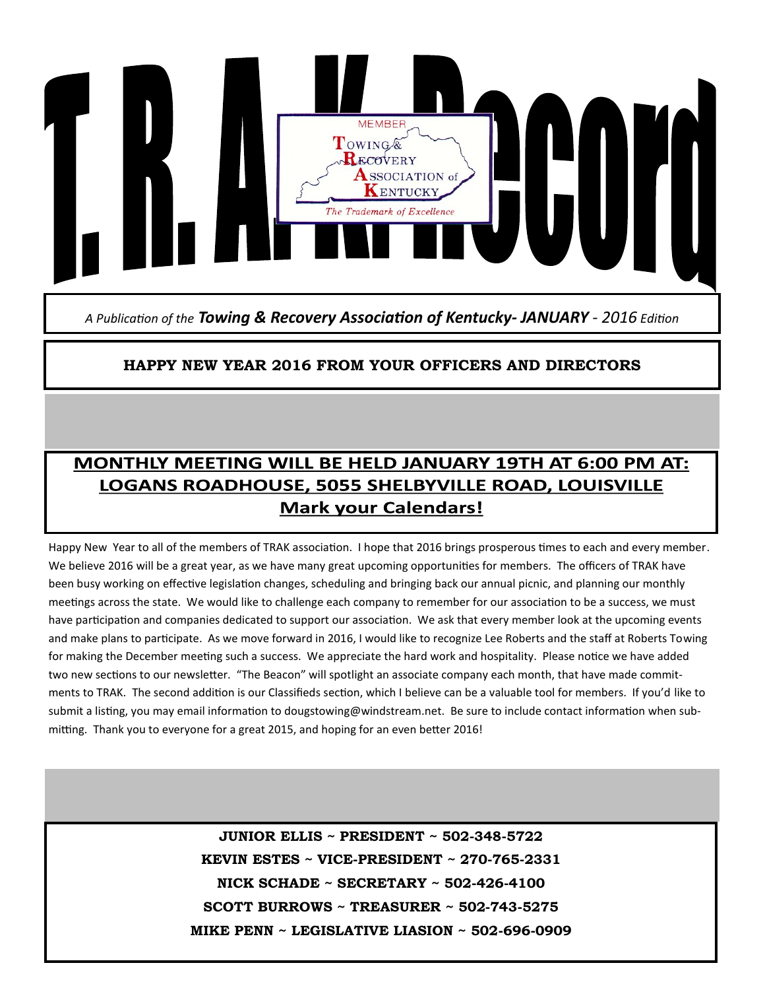

*A Publication of the Towing & Recovery Association of Kentucky- JANUARY - 2016 Edition*

#### **HAPPY NEW YEAR 2016 FROM YOUR OFFICERS AND DIRECTORS**

## MONTHLY MEETING WILL BE HELD JANUARY 19TH AT 6:00 PM AT: LOGANS ROADHOUSE, 5055 SHELBYVILLE ROAD, LOUISVILLE **Mark your Calendars!**

Happy New Year to all of the members of TRAK association. I hope that 2016 brings prosperous times to each and every member. We believe 2016 will be a great year, as we have many great upcoming opportunities for members. The officers of TRAK have been busy working on effective legislation changes, scheduling and bringing back our annual picnic, and planning our monthly meetings across the state. We would like to challenge each company to remember for our association to be a success, we must have participation and companies dedicated to support our association. We ask that every member look at the upcoming events and make plans to participate. As we move forward in 2016, I would like to recognize Lee Roberts and the staff at Roberts Towing for making the December meeting such a success. We appreciate the hard work and hospitality. Please notice we have added two new sections to our newsletter. "The Beacon" will spotlight an associate company each month, that have made commitments to TRAK. The second addition is our Classifieds section, which I believe can be a valuable tool for members. If you'd like to submit a listing, you may email information to dougstowing@windstream.net. Be sure to include contact information when submitting. Thank you to everyone for a great 2015, and hoping for an even better 2016!

> **JUNIOR ELLIS ~ PRESIDENT ~ 502-348-5722 KEVIN ESTES ~ VICE-PRESIDENT ~ 270-765-2331 NICK SCHADE ~ SECRETARY ~ 502-426-4100 SCOTT BURROWS ~ TREASURER ~ 502-743-5275 MIKE PENN ~ LEGISLATIVE LIASION ~ 502-696-0909**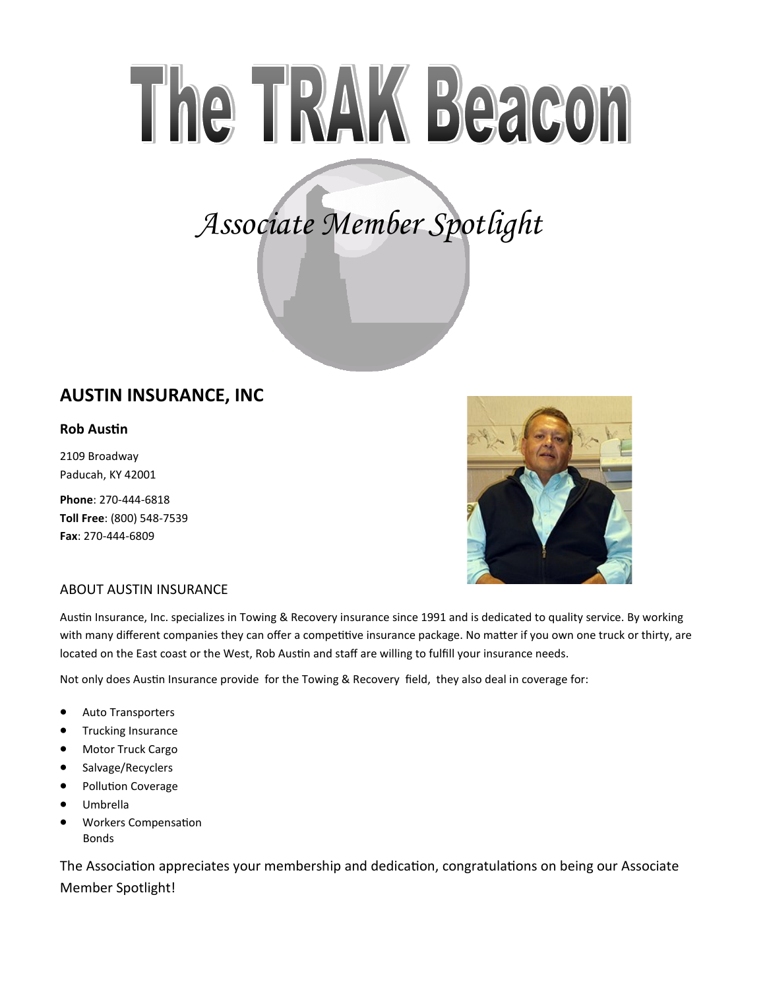# The TRAK Beacon

# *Associate Member Spotlight*

### **AUSTIN INSURANCE, INC**

#### **Rob Austin**

2109 Broadway Paducah, KY 42001

**Phone**: 270-444-6818 **Toll Free**: (800) 548-7539 **Fax**: 270-444-6809



#### ABOUT AUSTIN INSURANCE

Austin Insurance, Inc. specializes in Towing & Recovery insurance since 1991 and is dedicated to quality service. By working with many different companies they can offer a competitive insurance package. No matter if you own one truck or thirty, are located on the East coast or the West, Rob Austin and staff are willing to fulfill your insurance needs.

Not only does Austin Insurance provide for the Towing & Recovery field, they also deal in coverage for:

- Auto Transporters
- **•** Trucking Insurance
- Motor Truck Cargo
- Salvage/Recyclers
- Pollution Coverage
- Umbrella
- Workers Compensation Bonds

The Association appreciates your membership and dedication, congratulations on being our Associate Member Spotlight!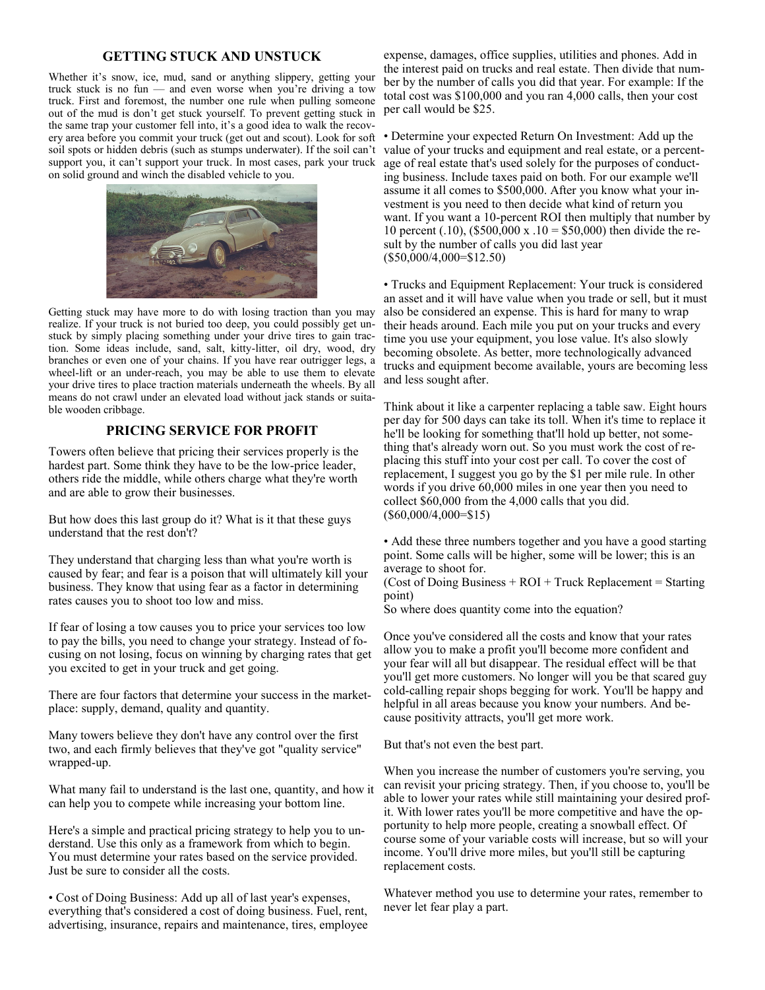#### **GETTING STUCK AND UNSTUCK**

Whether it's snow, ice, mud, sand or anything slippery, getting your truck stuck is no fun — and even worse when you're driving a tow truck. First and foremost, the number one rule when pulling someone out of the mud is don't get stuck yourself. To prevent getting stuck in the same trap your customer fell into, it's a good idea to walk the recovery area before you commit your truck (get out and scout). Look for soft soil spots or hidden debris (such as stumps underwater). If the soil can't support you, it can't support your truck. In most cases, park your truck on solid ground and winch the disabled vehicle to you.



Getting stuck may have more to do with losing traction than you may realize. If your truck is not buried too deep, you could possibly get unstuck by simply placing something under your drive tires to gain traction. Some ideas include, sand, salt, kitty-litter, oil dry, wood, dry branches or even one of your chains. If you have rear outrigger legs, a wheel-lift or an under-reach, you may be able to use them to elevate your drive tires to place traction materials underneath the wheels. By all means do not crawl under an elevated load without jack stands or suitable wooden cribbage.

#### **PRICING SERVICE FOR PROFIT**

Towers often believe that pricing their services properly is the hardest part. Some think they have to be the low-price leader, others ride the middle, while others charge what they're worth and are able to grow their businesses.

But how does this last group do it? What is it that these guys understand that the rest don't?

They understand that charging less than what you're worth is caused by fear; and fear is a poison that will ultimately kill your business. They know that using fear as a factor in determining rates causes you to shoot too low and miss.

If fear of losing a tow causes you to price your services too low to pay the bills, you need to change your strategy. Instead of focusing on not losing, focus on winning by charging rates that get you excited to get in your truck and get going.

There are four factors that determine your success in the marketplace: supply, demand, quality and quantity.

Many towers believe they don't have any control over the first two, and each firmly believes that they've got "quality service" wrapped-up.

What many fail to understand is the last one, quantity, and how it can help you to compete while increasing your bottom line.

Here's a simple and practical pricing strategy to help you to understand. Use this only as a framework from which to begin. You must determine your rates based on the service provided. Just be sure to consider all the costs.

• Cost of Doing Business: Add up all of last year's expenses, everything that's considered a cost of doing business. Fuel, rent, advertising, insurance, repairs and maintenance, tires, employee

expense, damages, office supplies, utilities and phones. Add in the interest paid on trucks and real estate. Then divide that number by the number of calls you did that year. For example: If the total cost was \$100,000 and you ran 4,000 calls, then your cost per call would be \$25.

• Determine your expected Return On Investment: Add up the value of your trucks and equipment and real estate, or a percentage of real estate that's used solely for the purposes of conducting business. Include taxes paid on both. For our example we'll assume it all comes to \$500,000. After you know what your investment is you need to then decide what kind of return you want. If you want a 10-percent ROI then multiply that number by 10 percent (.10), (\$500,000 x .10 = \$50,000) then divide the result by the number of calls you did last year (\$50,000/4,000=\$12.50)

• Trucks and Equipment Replacement: Your truck is considered an asset and it will have value when you trade or sell, but it must also be considered an expense. This is hard for many to wrap their heads around. Each mile you put on your trucks and every time you use your equipment, you lose value. It's also slowly becoming obsolete. As better, more technologically advanced trucks and equipment become available, yours are becoming less and less sought after.

Think about it like a carpenter replacing a table saw. Eight hours per day for 500 days can take its toll. When it's time to replace it he'll be looking for something that'll hold up better, not something that's already worn out. So you must work the cost of replacing this stuff into your cost per call. To cover the cost of replacement, I suggest you go by the \$1 per mile rule. In other words if you drive 60,000 miles in one year then you need to collect \$60,000 from the 4,000 calls that you did. (\$60,000/4,000=\$15)

• Add these three numbers together and you have a good starting point. Some calls will be higher, some will be lower; this is an average to shoot for.

(Cost of Doing Business  $+$  ROI  $+$  Truck Replacement  $=$  Starting point)

So where does quantity come into the equation?

Once you've considered all the costs and know that your rates allow you to make a profit you'll become more confident and your fear will all but disappear. The residual effect will be that you'll get more customers. No longer will you be that scared guy cold-calling repair shops begging for work. You'll be happy and helpful in all areas because you know your numbers. And because positivity attracts, you'll get more work.

But that's not even the best part.

When you increase the number of customers you're serving, you can revisit your pricing strategy. Then, if you choose to, you'll be able to lower your rates while still maintaining your desired profit. With lower rates you'll be more competitive and have the opportunity to help more people, creating a snowball effect. Of course some of your variable costs will increase, but so will your income. You'll drive more miles, but you'll still be capturing replacement costs.

Whatever method you use to determine your rates, remember to never let fear play a part.